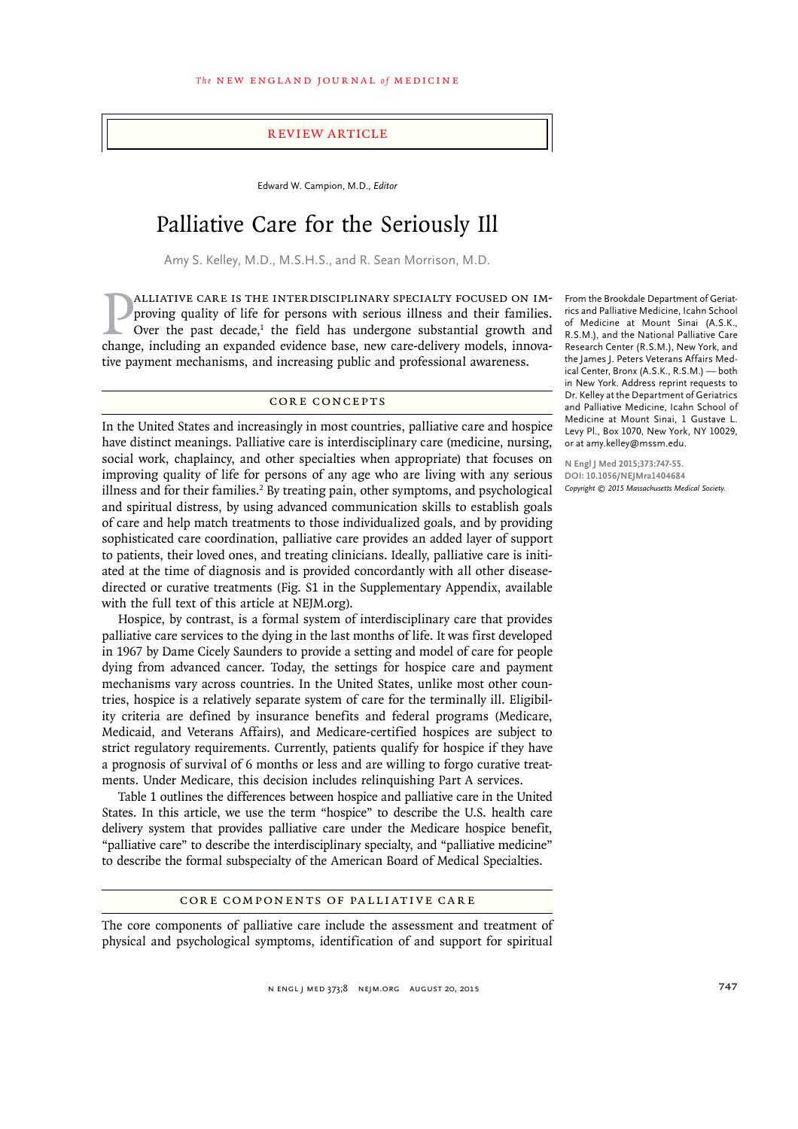#### Review Article

Edward W. Campion, M.D., *Editor*

# Palliative Care for the Seriously Ill

Amy S. Kelley, M.D., M.S.H.S., and R. Sean Morrison, M.D.

**PALLIATIVE CARE IS THE INTERDISCIPLINARY SPECIALTY FOCUSED ON IMproving quality of life for persons with serious illness and their families.** Over the past decade,<sup>1</sup> the field has undergone substantial growth and change, alliative care is the interdisciplinary specialty focused on improving quality of life for persons with serious illness and their families. Over the past decade, $1$  the field has undergone substantial growth and tive payment mechanisms, and increasing public and professional awareness.

# CORE CONCEPTS

In the United States and increasingly in most countries, palliative care and hospice have distinct meanings. Palliative care is interdisciplinary care (medicine, nursing, social work, chaplaincy, and other specialties when appropriate) that focuses on improving quality of life for persons of any age who are living with any serious illness and for their families.<sup>2</sup> By treating pain, other symptoms, and psychological and spiritual distress, by using advanced communication skills to establish goals of care and help match treatments to those individualized goals, and by providing sophisticated care coordination, palliative care provides an added layer of support to patients, their loved ones, and treating clinicians. Ideally, palliative care is initiated at the time of diagnosis and is provided concordantly with all other diseasedirected or curative treatments (Fig. S1 in the Supplementary Appendix, available with the full text of this article at NEJM.org).

Hospice, by contrast, is a formal system of interdisciplinary care that provides palliative care services to the dying in the last months of life. It was first developed in 1967 by Dame Cicely Saunders to provide a setting and model of care for people dying from advanced cancer. Today, the settings for hospice care and payment mechanisms vary across countries. In the United States, unlike most other countries, hospice is a relatively separate system of care for the terminally ill. Eligibility criteria are defined by insurance benefits and federal programs (Medicare, Medicaid, and Veterans Affairs), and Medicare-certified hospices are subject to strict regulatory requirements. Currently, patients qualify for hospice if they have a prognosis of survival of 6 months or less and are willing to forgo curative treatments. Under Medicare, this decision includes relinquishing Part A services.

Table 1 outlines the differences between hospice and palliative care in the United States. In this article, we use the term "hospice" to describe the U.S. health care delivery system that provides palliative care under the Medicare hospice benefit, "palliative care" to describe the interdisciplinary specialty, and "palliative medicine" to describe the formal subspecialty of the American Board of Medical Specialties.

## Core Components of Palliative Care

The core components of palliative care include the assessment and treatment of physical and psychological symptoms, identification of and support for spiritual

n engl j med 373;8 nejm.org August 20, 2015 747

From the Brookdale Department of Geriatrics and Palliative Medicine, Icahn School of Medicine at Mount Sinai (A.S.K., R.S.M.), and the National Palliative Care Research Center (R.S.M.), New York, and the James J. Peters Veterans Affairs Medical Center, Bronx (A.S.K., R.S.M.) — both in New York. Address reprint requests to Dr. Kelley at the Department of Geriatrics and Palliative Medicine, Icahn School of Medicine at Mount Sinai, 1 Gustave L. Levy Pl., Box 1070, New York, NY 10029, or at amy.kelley@mssm.edu.

**N Engl J Med 2015;373:747-55. DOI: 10.1056/NEJMra1404684** *Copyright © 2015 Massachusetts Medical Society.*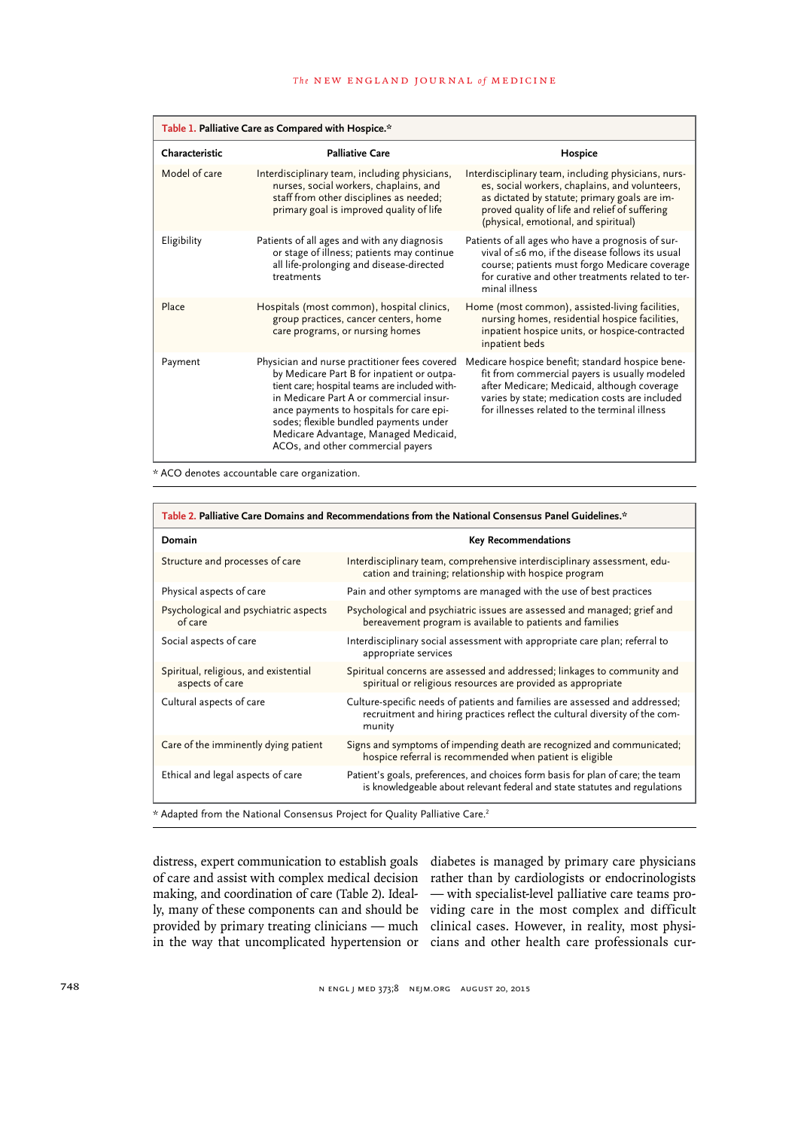| Table 1. Palliative Care as Compared with Hospice.* |                                                                                                                                                                                                                                                                                                                                                             |                                                                                                                                                                                                                                                     |
|-----------------------------------------------------|-------------------------------------------------------------------------------------------------------------------------------------------------------------------------------------------------------------------------------------------------------------------------------------------------------------------------------------------------------------|-----------------------------------------------------------------------------------------------------------------------------------------------------------------------------------------------------------------------------------------------------|
| Characteristic                                      | <b>Palliative Care</b>                                                                                                                                                                                                                                                                                                                                      | Hospice                                                                                                                                                                                                                                             |
| Model of care                                       | Interdisciplinary team, including physicians,<br>nurses, social workers, chaplains, and<br>staff from other disciplines as needed;<br>primary goal is improved quality of life                                                                                                                                                                              | Interdisciplinary team, including physicians, nurs-<br>es, social workers, chaplains, and volunteers,<br>as dictated by statute; primary goals are im-<br>proved quality of life and relief of suffering<br>(physical, emotional, and spiritual)    |
| Eligibility                                         | Patients of all ages and with any diagnosis<br>or stage of illness; patients may continue<br>all life-prolonging and disease-directed<br>treatments                                                                                                                                                                                                         | Patients of all ages who have a prognosis of sur-<br>vival of ≤6 mo, if the disease follows its usual<br>course; patients must forgo Medicare coverage<br>for curative and other treatments related to ter-<br>minal illness                        |
| Place                                               | Hospitals (most common), hospital clinics,<br>group practices, cancer centers, home<br>care programs, or nursing homes                                                                                                                                                                                                                                      | Home (most common), assisted-living facilities,<br>nursing homes, residential hospice facilities,<br>inpatient hospice units, or hospice-contracted<br>inpatient beds                                                                               |
| Payment                                             | Physician and nurse practitioner fees covered<br>by Medicare Part B for inpatient or outpa-<br>tient care; hospital teams are included with-<br>in Medicare Part A or commercial insur-<br>ance payments to hospitals for care epi-<br>sodes; flexible bundled payments under<br>Medicare Advantage, Managed Medicaid,<br>ACOs, and other commercial payers | Medicare hospice benefit; standard hospice bene-<br>fit from commercial payers is usually modeled<br>after Medicare; Medicaid, although coverage<br>varies by state; medication costs are included<br>for illnesses related to the terminal illness |

\* ACO denotes accountable care organization.

| Table 2. Palliative Care Domains and Recommendations from the National Consensus Panel Guidelines.* |                                                                                                                                                                      |  |  |
|-----------------------------------------------------------------------------------------------------|----------------------------------------------------------------------------------------------------------------------------------------------------------------------|--|--|
| Domain                                                                                              | <b>Key Recommendations</b>                                                                                                                                           |  |  |
| Structure and processes of care                                                                     | Interdisciplinary team, comprehensive interdisciplinary assessment, edu-<br>cation and training; relationship with hospice program                                   |  |  |
| Physical aspects of care                                                                            | Pain and other symptoms are managed with the use of best practices                                                                                                   |  |  |
| Psychological and psychiatric aspects<br>of care                                                    | Psychological and psychiatric issues are assessed and managed; grief and<br>bereavement program is available to patients and families                                |  |  |
| Social aspects of care                                                                              | Interdisciplinary social assessment with appropriate care plan; referral to<br>appropriate services                                                                  |  |  |
| Spiritual, religious, and existential<br>aspects of care                                            | Spiritual concerns are assessed and addressed; linkages to community and<br>spiritual or religious resources are provided as appropriate                             |  |  |
| Cultural aspects of care                                                                            | Culture-specific needs of patients and families are assessed and addressed;<br>recruitment and hiring practices reflect the cultural diversity of the com-<br>munity |  |  |
| Care of the imminently dying patient                                                                | Signs and symptoms of impending death are recognized and communicated;<br>hospice referral is recommended when patient is eligible                                   |  |  |
| Ethical and legal aspects of care                                                                   | Patient's goals, preferences, and choices form basis for plan of care; the team<br>is knowledgeable about relevant federal and state statutes and regulations        |  |  |
| * Adapted from the National Consensus Project for Quality Palliative Care. <sup>2</sup>             |                                                                                                                                                                      |  |  |

distress, expert communication to establish goals of care and assist with complex medical decision making, and coordination of care (Table 2). Idealin the way that uncomplicated hypertension or cians and other health care professionals cur-

ly, many of these components can and should be viding care in the most complex and difficult provided by primary treating clinicians — much clinical cases. However, in reality, most physidiabetes is managed by primary care physicians rather than by cardiologists or endocrinologists — with specialist-level palliative care teams pro-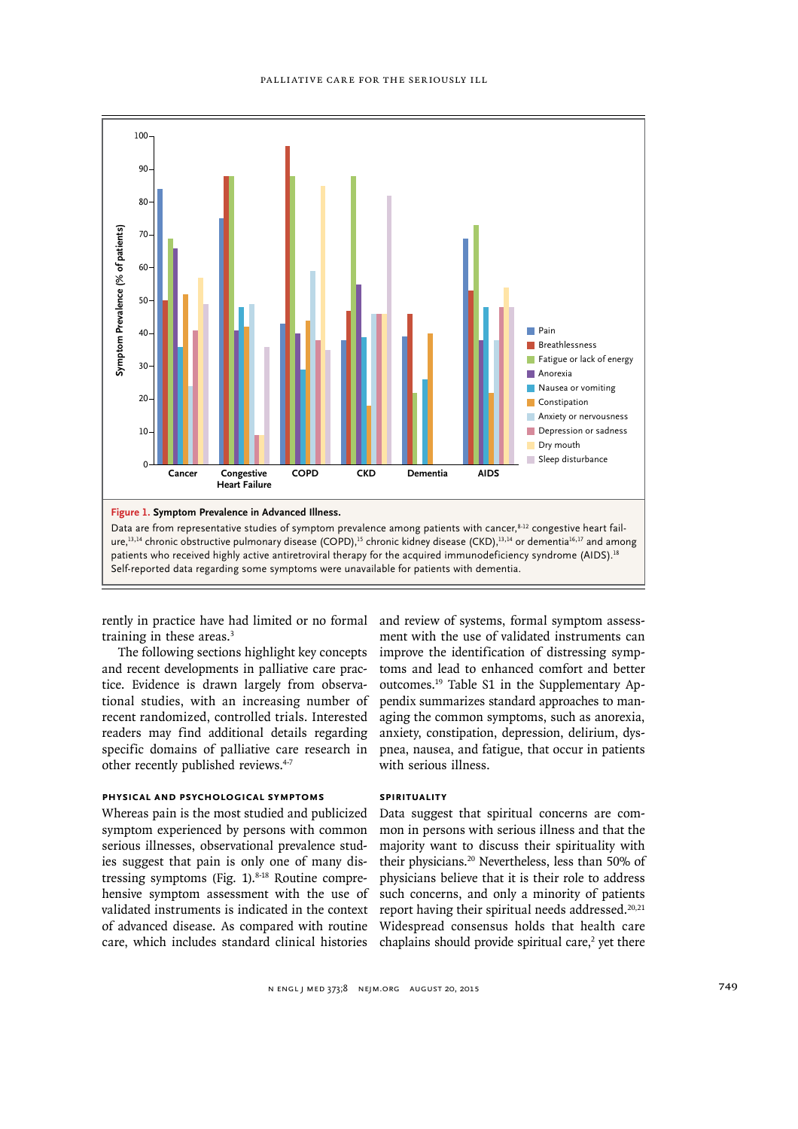

rently in practice have had limited or no formal and review of systems, formal symptom assesstraining in these areas.<sup>3</sup>

The following sections highlight key concepts and recent developments in palliative care practice. Evidence is drawn largely from observational studies, with an increasing number of recent randomized, controlled trials. Interested readers may find additional details regarding specific domains of palliative care research in other recently published reviews.<sup>4-7</sup>

#### **Physical and Psychological Symptoms**

Whereas pain is the most studied and publicized symptom experienced by persons with common serious illnesses, observational prevalence studies suggest that pain is only one of many distressing symptoms (Fig. 1).<sup>8-18</sup> Routine comprehensive symptom assessment with the use of validated instruments is indicated in the context of advanced disease. As compared with routine care, which includes standard clinical histories ment with the use of validated instruments can improve the identification of distressing symptoms and lead to enhanced comfort and better outcomes.19 Table S1 in the Supplementary Appendix summarizes standard approaches to managing the common symptoms, such as anorexia, anxiety, constipation, depression, delirium, dyspnea, nausea, and fatigue, that occur in patients with serious illness.

## **Spirituality**

Data suggest that spiritual concerns are common in persons with serious illness and that the majority want to discuss their spirituality with their physicians.20 Nevertheless, less than 50% of physicians believe that it is their role to address such concerns, and only a minority of patients report having their spiritual needs addressed. $20,21$ Widespread consensus holds that health care chaplains should provide spiritual care, $2$  yet there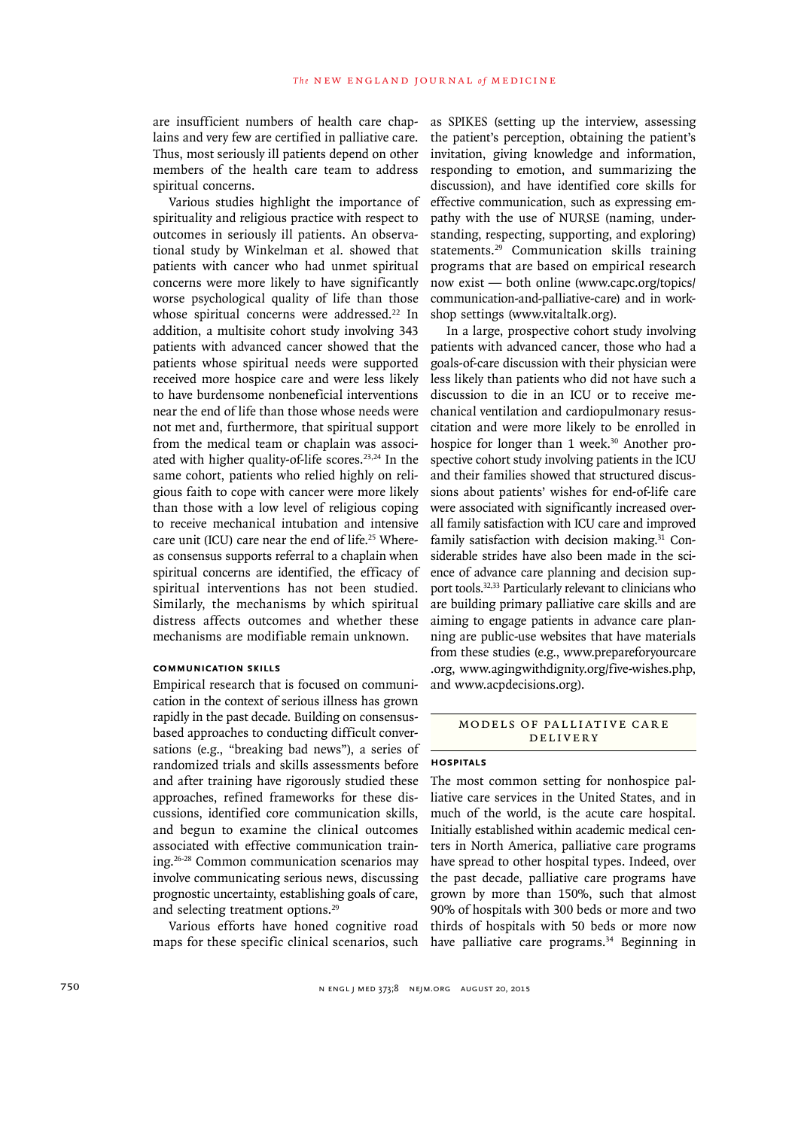are insufficient numbers of health care chaplains and very few are certified in palliative care. Thus, most seriously ill patients depend on other members of the health care team to address spiritual concerns.

Various studies highlight the importance of spirituality and religious practice with respect to outcomes in seriously ill patients. An observational study by Winkelman et al. showed that patients with cancer who had unmet spiritual concerns were more likely to have significantly worse psychological quality of life than those whose spiritual concerns were addressed.<sup>22</sup> In addition, a multisite cohort study involving 343 patients with advanced cancer showed that the patients whose spiritual needs were supported received more hospice care and were less likely to have burdensome nonbeneficial interventions near the end of life than those whose needs were not met and, furthermore, that spiritual support from the medical team or chaplain was associated with higher quality-of-life scores.<sup>23,24</sup> In the same cohort, patients who relied highly on religious faith to cope with cancer were more likely than those with a low level of religious coping to receive mechanical intubation and intensive care unit (ICU) care near the end of life.<sup>25</sup> Whereas consensus supports referral to a chaplain when spiritual concerns are identified, the efficacy of spiritual interventions has not been studied. Similarly, the mechanisms by which spiritual distress affects outcomes and whether these mechanisms are modifiable remain unknown.

### **Communication Skills**

Empirical research that is focused on communication in the context of serious illness has grown rapidly in the past decade. Building on consensusbased approaches to conducting difficult conversations (e.g., "breaking bad news"), a series of randomized trials and skills assessments before and after training have rigorously studied these approaches, refined frameworks for these discussions, identified core communication skills, and begun to examine the clinical outcomes associated with effective communication training.26-28 Common communication scenarios may involve communicating serious news, discussing prognostic uncertainty, establishing goals of care, and selecting treatment options.<sup>29</sup>

Various efforts have honed cognitive road maps for these specific clinical scenarios, such

as SPIKES (setting up the interview, assessing the patient's perception, obtaining the patient's invitation, giving knowledge and information, responding to emotion, and summarizing the discussion), and have identified core skills for effective communication, such as expressing empathy with the use of NURSE (naming, understanding, respecting, supporting, and exploring) statements.29 Communication skills training programs that are based on empirical research now exist — both online (www.capc.org/topics/ communication-and-palliative-care) and in workshop settings (www.vitaltalk.org).

In a large, prospective cohort study involving patients with advanced cancer, those who had a goals-of-care discussion with their physician were less likely than patients who did not have such a discussion to die in an ICU or to receive mechanical ventilation and cardiopulmonary resuscitation and were more likely to be enrolled in hospice for longer than 1 week.<sup>30</sup> Another prospective cohort study involving patients in the ICU and their families showed that structured discussions about patients' wishes for end-of-life care were associated with significantly increased overall family satisfaction with ICU care and improved family satisfaction with decision making.<sup>31</sup> Considerable strides have also been made in the science of advance care planning and decision support tools.32,33 Particularly relevant to clinicians who are building primary palliative care skills and are aiming to engage patients in advance care planning are public-use websites that have materials from these studies (e.g., www.prepareforyourcare .org, www.agingwithdignity.org/five-wishes.php, and www.acpdecisions.org).

## MODELS OF PALLIATIVE CARE Delivery

#### **Hospitals**

The most common setting for nonhospice palliative care services in the United States, and in much of the world, is the acute care hospital. Initially established within academic medical centers in North America, palliative care programs have spread to other hospital types. Indeed, over the past decade, palliative care programs have grown by more than 150%, such that almost 90% of hospitals with 300 beds or more and two thirds of hospitals with 50 beds or more now have palliative care programs.<sup>34</sup> Beginning in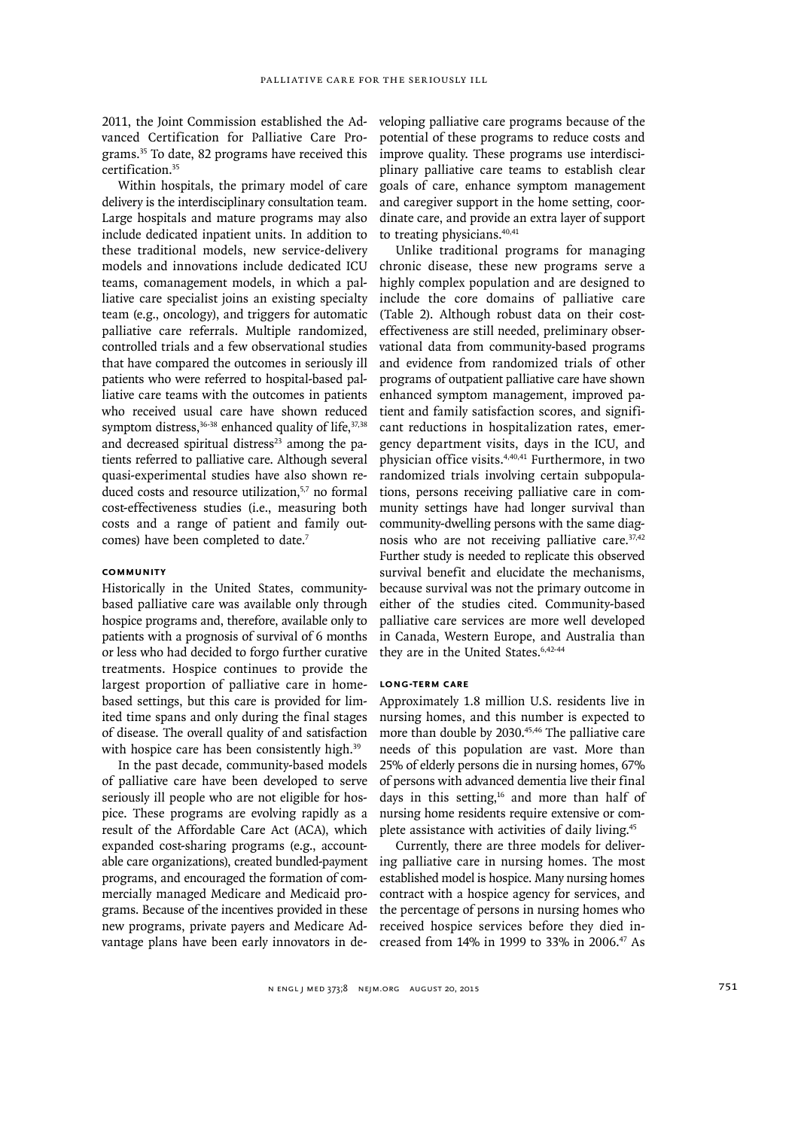2011, the Joint Commission established the Advanced Certification for Palliative Care Programs.35 To date, 82 programs have received this certification.35

Within hospitals, the primary model of care delivery is the interdisciplinary consultation team. Large hospitals and mature programs may also include dedicated inpatient units. In addition to these traditional models, new service-delivery models and innovations include dedicated ICU teams, comanagement models, in which a palliative care specialist joins an existing specialty team (e.g., oncology), and triggers for automatic palliative care referrals. Multiple randomized, controlled trials and a few observational studies that have compared the outcomes in seriously ill patients who were referred to hospital-based palliative care teams with the outcomes in patients who received usual care have shown reduced symptom distress, $36-38$  enhanced quality of life, $37,38$ and decreased spiritual distress $23$  among the patients referred to palliative care. Although several quasi-experimental studies have also shown reduced costs and resource utilization,<sup>5,7</sup> no formal cost-effectiveness studies (i.e., measuring both costs and a range of patient and family outcomes) have been completed to date.<sup>7</sup>

### **Community**

Historically in the United States, communitybased palliative care was available only through hospice programs and, therefore, available only to patients with a prognosis of survival of 6 months or less who had decided to forgo further curative treatments. Hospice continues to provide the largest proportion of palliative care in homebased settings, but this care is provided for limited time spans and only during the final stages of disease. The overall quality of and satisfaction with hospice care has been consistently high.<sup>39</sup>

In the past decade, community-based models of palliative care have been developed to serve seriously ill people who are not eligible for hospice. These programs are evolving rapidly as a result of the Affordable Care Act (ACA), which expanded cost-sharing programs (e.g., accountable care organizations), created bundled-payment programs, and encouraged the formation of commercially managed Medicare and Medicaid programs. Because of the incentives provided in these new programs, private payers and Medicare Advantage plans have been early innovators in de-

veloping palliative care programs because of the potential of these programs to reduce costs and improve quality. These programs use interdisciplinary palliative care teams to establish clear goals of care, enhance symptom management and caregiver support in the home setting, coordinate care, and provide an extra layer of support to treating physicians.<sup>40,41</sup>

Unlike traditional programs for managing chronic disease, these new programs serve a highly complex population and are designed to include the core domains of palliative care (Table 2). Although robust data on their costeffectiveness are still needed, preliminary observational data from community-based programs and evidence from randomized trials of other programs of outpatient palliative care have shown enhanced symptom management, improved patient and family satisfaction scores, and significant reductions in hospitalization rates, emergency department visits, days in the ICU, and physician office visits.4,40,41 Furthermore, in two randomized trials involving certain subpopulations, persons receiving palliative care in community settings have had longer survival than community-dwelling persons with the same diagnosis who are not receiving palliative care.<sup>37,42</sup> Further study is needed to replicate this observed survival benefit and elucidate the mechanisms, because survival was not the primary outcome in either of the studies cited. Community-based palliative care services are more well developed in Canada, Western Europe, and Australia than they are in the United States.<sup>6,42-44</sup>

#### **Long-Term Care**

Approximately 1.8 million U.S. residents live in nursing homes, and this number is expected to more than double by 2030.<sup>45,46</sup> The palliative care needs of this population are vast. More than 25% of elderly persons die in nursing homes, 67% of persons with advanced dementia live their final days in this setting,<sup>16</sup> and more than half of nursing home residents require extensive or complete assistance with activities of daily living.45

Currently, there are three models for delivering palliative care in nursing homes. The most established model is hospice. Many nursing homes contract with a hospice agency for services, and the percentage of persons in nursing homes who received hospice services before they died increased from 14% in 1999 to 33% in 2006.47 As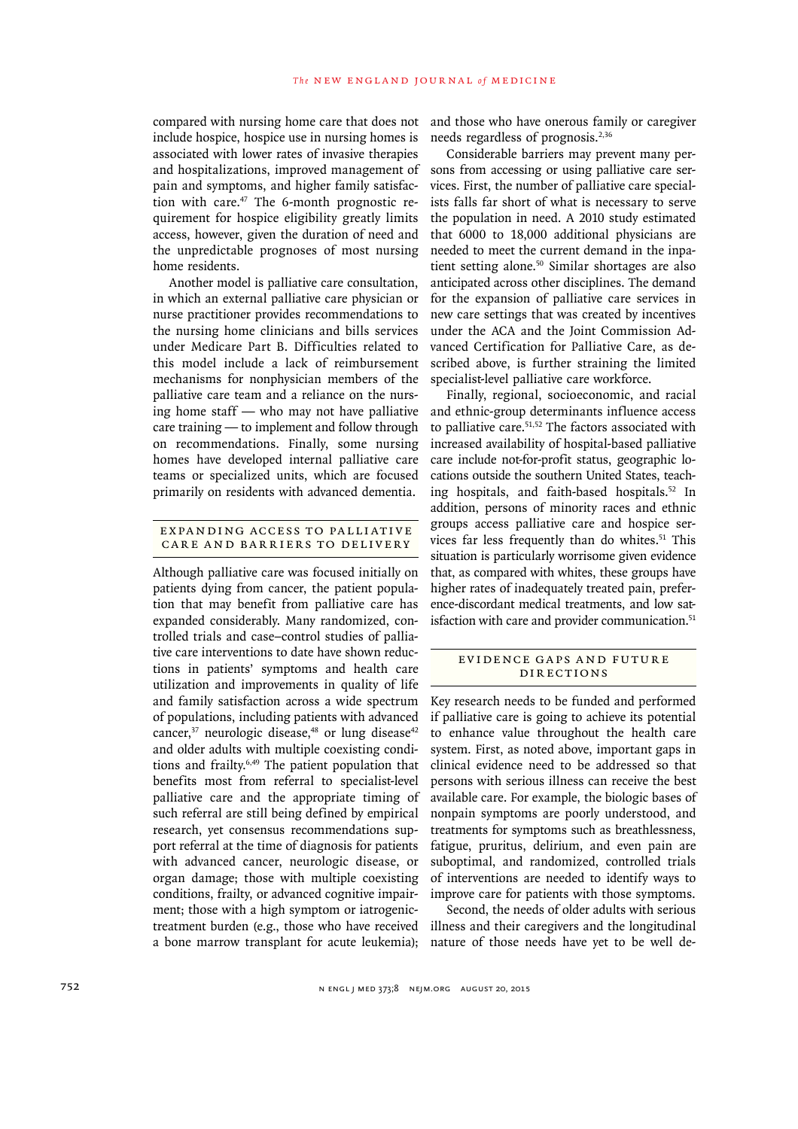compared with nursing home care that does not include hospice, hospice use in nursing homes is associated with lower rates of invasive therapies and hospitalizations, improved management of pain and symptoms, and higher family satisfaction with care.47 The 6-month prognostic requirement for hospice eligibility greatly limits access, however, given the duration of need and the unpredictable prognoses of most nursing home residents.

Another model is palliative care consultation, in which an external palliative care physician or nurse practitioner provides recommendations to the nursing home clinicians and bills services under Medicare Part B. Difficulties related to this model include a lack of reimbursement mechanisms for nonphysician members of the palliative care team and a reliance on the nursing home staff — who may not have palliative care training — to implement and follow through on recommendations. Finally, some nursing homes have developed internal palliative care teams or specialized units, which are focused primarily on residents with advanced dementia.

## EXPANDING ACCESS TO PALLIATIVE Care and Barriers to Delivery

Although palliative care was focused initially on patients dying from cancer, the patient population that may benefit from palliative care has expanded considerably. Many randomized, controlled trials and case–control studies of palliative care interventions to date have shown reductions in patients' symptoms and health care utilization and improvements in quality of life and family satisfaction across a wide spectrum of populations, including patients with advanced cancer, $37$  neurologic disease, $48$  or lung disease $42$ and older adults with multiple coexisting conditions and frailty.6,49 The patient population that benefits most from referral to specialist-level palliative care and the appropriate timing of such referral are still being defined by empirical research, yet consensus recommendations support referral at the time of diagnosis for patients with advanced cancer, neurologic disease, or organ damage; those with multiple coexisting conditions, frailty, or advanced cognitive impairment; those with a high symptom or iatrogenictreatment burden (e.g., those who have received a bone marrow transplant for acute leukemia); and those who have onerous family or caregiver needs regardless of prognosis.2,36

Considerable barriers may prevent many persons from accessing or using palliative care services. First, the number of palliative care specialists falls far short of what is necessary to serve the population in need. A 2010 study estimated that 6000 to 18,000 additional physicians are needed to meet the current demand in the inpatient setting alone.<sup>50</sup> Similar shortages are also anticipated across other disciplines. The demand for the expansion of palliative care services in new care settings that was created by incentives under the ACA and the Joint Commission Advanced Certification for Palliative Care, as described above, is further straining the limited specialist-level palliative care workforce.

Finally, regional, socioeconomic, and racial and ethnic-group determinants influence access to palliative care.<sup>51,52</sup> The factors associated with increased availability of hospital-based palliative care include not-for-profit status, geographic locations outside the southern United States, teaching hospitals, and faith-based hospitals.<sup>52</sup> In addition, persons of minority races and ethnic groups access palliative care and hospice services far less frequently than do whites.<sup>51</sup> This situation is particularly worrisome given evidence that, as compared with whites, these groups have higher rates of inadequately treated pain, preference-discordant medical treatments, and low satisfaction with care and provider communication.<sup>51</sup>

## EVIDENCE GAPS AND FUTURE DIRECTIONS

Key research needs to be funded and performed if palliative care is going to achieve its potential to enhance value throughout the health care system. First, as noted above, important gaps in clinical evidence need to be addressed so that persons with serious illness can receive the best available care. For example, the biologic bases of nonpain symptoms are poorly understood, and treatments for symptoms such as breathlessness, fatigue, pruritus, delirium, and even pain are suboptimal, and randomized, controlled trials of interventions are needed to identify ways to improve care for patients with those symptoms.

Second, the needs of older adults with serious illness and their caregivers and the longitudinal nature of those needs have yet to be well de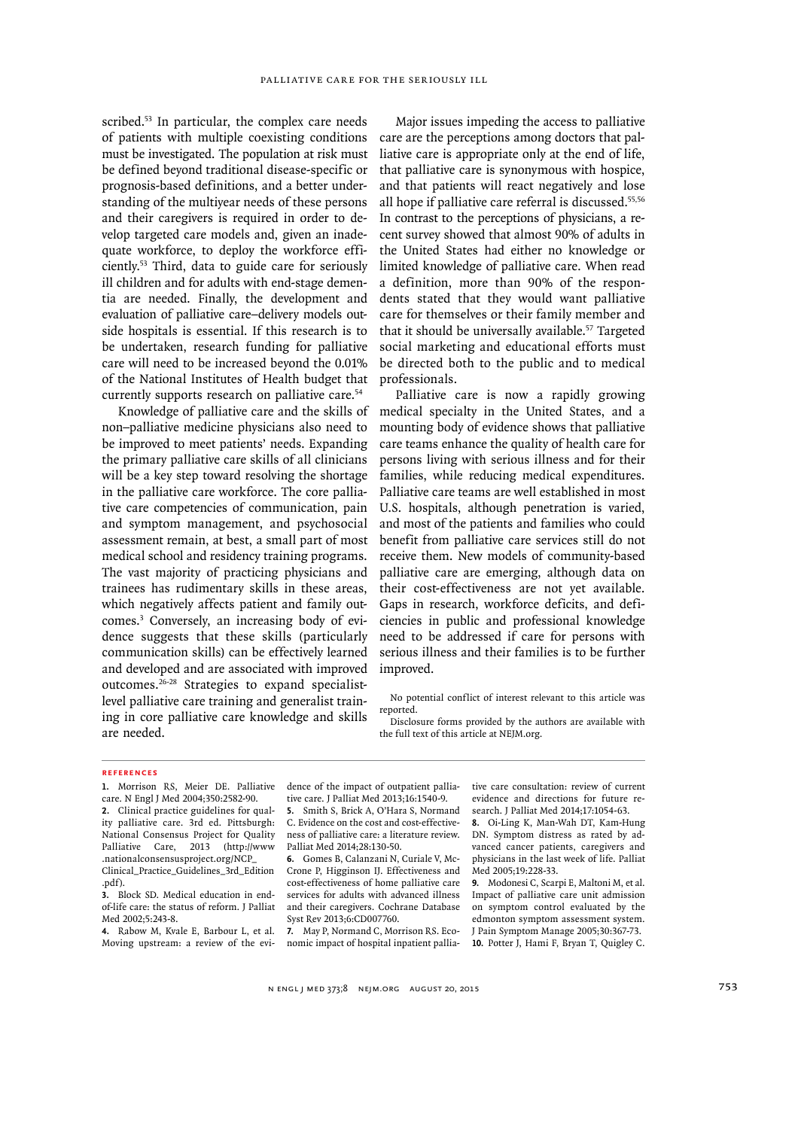scribed.<sup>53</sup> In particular, the complex care needs of patients with multiple coexisting conditions must be investigated. The population at risk must be defined beyond traditional disease-specific or prognosis-based definitions, and a better understanding of the multiyear needs of these persons and their caregivers is required in order to develop targeted care models and, given an inadequate workforce, to deploy the workforce efficiently.53 Third, data to guide care for seriously ill children and for adults with end-stage dementia are needed. Finally, the development and evaluation of palliative care–delivery models outside hospitals is essential. If this research is to be undertaken, research funding for palliative care will need to be increased beyond the 0.01% of the National Institutes of Health budget that currently supports research on palliative care.54

Knowledge of palliative care and the skills of non–palliative medicine physicians also need to be improved to meet patients' needs. Expanding the primary palliative care skills of all clinicians will be a key step toward resolving the shortage in the palliative care workforce. The core palliative care competencies of communication, pain and symptom management, and psychosocial assessment remain, at best, a small part of most medical school and residency training programs. The vast majority of practicing physicians and trainees has rudimentary skills in these areas, which negatively affects patient and family outcomes.3 Conversely, an increasing body of evidence suggests that these skills (particularly communication skills) can be effectively learned and developed and are associated with improved outcomes.26-28 Strategies to expand specialistlevel palliative care training and generalist training in core palliative care knowledge and skills are needed.

Major issues impeding the access to palliative care are the perceptions among doctors that palliative care is appropriate only at the end of life, that palliative care is synonymous with hospice, and that patients will react negatively and lose all hope if palliative care referral is discussed.55,56 In contrast to the perceptions of physicians, a recent survey showed that almost 90% of adults in the United States had either no knowledge or limited knowledge of palliative care. When read a definition, more than 90% of the respondents stated that they would want palliative care for themselves or their family member and that it should be universally available.57 Targeted social marketing and educational efforts must be directed both to the public and to medical professionals.

Palliative care is now a rapidly growing medical specialty in the United States, and a mounting body of evidence shows that palliative care teams enhance the quality of health care for persons living with serious illness and for their families, while reducing medical expenditures. Palliative care teams are well established in most U.S. hospitals, although penetration is varied, and most of the patients and families who could benefit from palliative care services still do not receive them. New models of community-based palliative care are emerging, although data on their cost-effectiveness are not yet available. Gaps in research, workforce deficits, and deficiencies in public and professional knowledge need to be addressed if care for persons with serious illness and their families is to be further improved.

No potential conflict of interest relevant to this article was reported.

Disclosure forms provided by the authors are available with the full text of this article at NEJM.org.

#### **References**

**1.** Morrison RS, Meier DE. Palliative care. N Engl J Med 2004;350:2582-90. **2.** Clinical practice guidelines for quality palliative care. 3rd ed. Pittsburgh: National Consensus Project for Quality Palliative Care, 2013 (http://www .nationalconsensusproject.org/NCP\_ Clinical\_Practice\_Guidelines\_3rd\_Edition

**4.** Rabow M, Kvale E, Barbour L, et al. Moving upstream: a review of the evidence of the impact of outpatient palliative care. J Palliat Med 2013;16:1540-9.

**5.** Smith S, Brick A, O'Hara S, Normand C. Evidence on the cost and cost-effectiveness of palliative care: a literature review. Palliat Med 2014;28:130-50.

**6.** Gomes B, Calanzani N, Curiale V, Mc-Crone P, Higginson IJ. Effectiveness and cost-effectiveness of home palliative care services for adults with advanced illness and their caregivers. Cochrane Database Syst Rev 2013;6:CD007760.

**7.** May P, Normand C, Morrison RS. Economic impact of hospital inpatient palliative care consultation: review of current evidence and directions for future research. J Palliat Med 2014;17:1054-63.

**8.** Oi-Ling K, Man-Wah DT, Kam-Hung DN. Symptom distress as rated by advanced cancer patients, caregivers and physicians in the last week of life. Palliat Med 2005;19:228-33.

**9.** Modonesi C, Scarpi E, Maltoni M, et al. Impact of palliative care unit admission on symptom control evaluated by the edmonton symptom assessment system. J Pain Symptom Manage 2005;30:367-73. **10.** Potter J, Hami F, Bryan T, Quigley C.

<sup>.</sup>pdf). **3.** Block SD. Medical education in end-

of-life care: the status of reform. J Palliat Med 2002;5:243-8.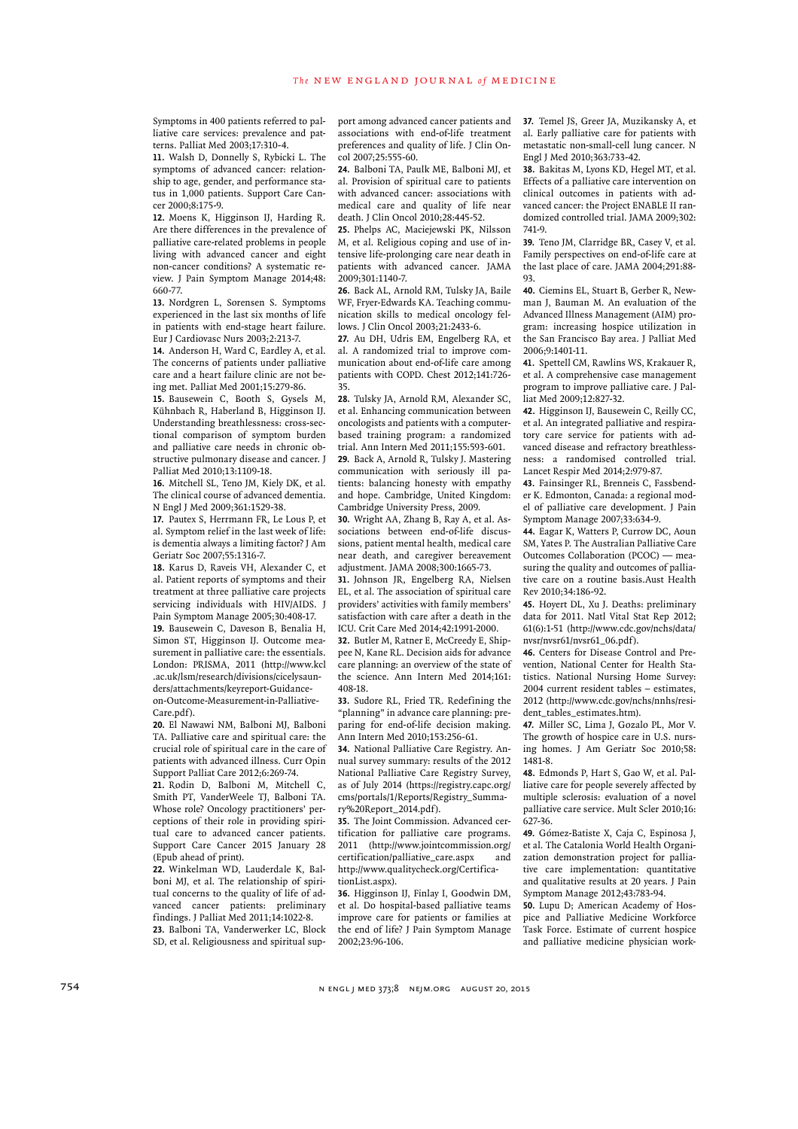Symptoms in 400 patients referred to palliative care services: prevalence and patterns. Palliat Med 2003;17:310-4.

**11.** Walsh D, Donnelly S, Rybicki L. The symptoms of advanced cancer: relationship to age, gender, and performance status in 1,000 patients. Support Care Cancer 2000;8:175-9.

**12.** Moens K, Higginson IJ, Harding R. Are there differences in the prevalence of palliative care-related problems in people living with advanced cancer and eight non-cancer conditions? A systematic review. J Pain Symptom Manage 2014;48: 660-77.

**13.** Nordgren L, Sorensen S. Symptoms experienced in the last six months of life in patients with end-stage heart failure. Eur J Cardiovasc Nurs 2003;2:213-7.

**14.** Anderson H, Ward C, Eardley A, et al. The concerns of patients under palliative care and a heart failure clinic are not being met. Palliat Med 2001;15:279-86.

**15.** Bausewein C, Booth S, Gysels M, Kühnbach R, Haberland B, Higginson IJ. Understanding breathlessness: cross-sectional comparison of symptom burden and palliative care needs in chronic obstructive pulmonary disease and cancer. J Palliat Med 2010;13:1109-18.

**16.** Mitchell SL, Teno JM, Kiely DK, et al. The clinical course of advanced dementia. N Engl J Med 2009;361:1529-38.

**17.** Pautex S, Herrmann FR, Le Lous P, et al. Symptom relief in the last week of life: is dementia always a limiting factor? J Am Geriatr Soc 2007;55:1316-7.

**18.** Karus D, Raveis VH, Alexander C, et al. Patient reports of symptoms and their treatment at three palliative care projects servicing individuals with HIV/AIDS. J Pain Symptom Manage 2005;30:408-17. **19.** Bausewein C, Daveson B, Benalia H, Simon ST, Higginson IJ. Outcome measurement in palliative care: the essentials. London: PRISMA, 2011 (http://www.kcl .ac.uk/lsm/research/divisions/cicelysaunders/attachments/keyreport-Guidanceon-Outcome-Measurement-in-Palliative-

Care.pdf). **20.** El Nawawi NM, Balboni MJ, Balboni

TA. Palliative care and spiritual care: the crucial role of spiritual care in the care of patients with advanced illness. Curr Opin Support Palliat Care 2012;6:269-74.

**21.** Rodin D, Balboni M, Mitchell C, Smith PT, VanderWeele TJ, Balboni TA. Whose role? Oncology practitioners' perceptions of their role in providing spiritual care to advanced cancer patients. Support Care Cancer 2015 January 28 (Epub ahead of print).

**22.** Winkelman WD, Lauderdale K, Balboni MJ, et al. The relationship of spiritual concerns to the quality of life of advanced cancer patients: preliminary findings. J Palliat Med 2011;14:1022-8. **23.** Balboni TA, Vanderwerker LC, Block SD, et al. Religiousness and spiritual support among advanced cancer patients and associations with end-of-life treatment preferences and quality of life. J Clin Oncol 2007;25:555-60.

**24.** Balboni TA, Paulk ME, Balboni MJ, et al. Provision of spiritual care to patients with advanced cancer: associations with medical care and quality of life near death. J Clin Oncol 2010;28:445-52.

**25.** Phelps AC, Maciejewski PK, Nilsson M, et al. Religious coping and use of intensive life-prolonging care near death in patients with advanced cancer. JAMA 2009;301:1140-7.

**26.** Back AL, Arnold RM, Tulsky JA, Baile WF, Fryer-Edwards KA. Teaching communication skills to medical oncology fellows. J Clin Oncol 2003;21:2433-6.

**27.** Au DH, Udris EM, Engelberg RA, et al. A randomized trial to improve communication about end-of-life care among patients with COPD. Chest 2012;141:726- 35.

**28.** Tulsky JA, Arnold RM, Alexander SC, et al. Enhancing communication between oncologists and patients with a computerbased training program: a randomized trial. Ann Intern Med 2011;155:593-601. **29.** Back A, Arnold R, Tulsky J. Mastering communication with seriously ill patients: balancing honesty with empathy and hope. Cambridge, United Kingdom: Cambridge University Press, 2009.

**30.** Wright AA, Zhang B, Ray A, et al. Associations between end-of-life discussions, patient mental health, medical care near death, and caregiver bereavement adjustment. JAMA 2008;300:1665-73.

**31.** Johnson JR, Engelberg RA, Nielsen EL, et al. The association of spiritual care providers' activities with family members' satisfaction with care after a death in the ICU. Crit Care Med 2014;42:1991-2000.

**32.** Butler M, Ratner E, McCreedy E, Shippee N, Kane RL. Decision aids for advance care planning: an overview of the state of the science. Ann Intern Med 2014;161: 408-18.

**33.** Sudore RL, Fried TR. Redefining the "planning" in advance care planning: preparing for end-of-life decision making. Ann Intern Med 2010;153:256-61.

**34.** National Palliative Care Registry. Annual survey summary: results of the 2012 National Palliative Care Registry Survey, as of July 2014 (https://registry.capc.org/ cms/portals/1/Reports/Registry\_Summary%20Report\_2014.pdf).

**35.** The Joint Commission. Advanced certification for palliative care programs. 2011 (http://www.jointcommission.org/ certification/palliative\_care.aspx and http://www.qualitycheck.org/CertificationList.aspx).

**36.** Higginson IJ, Finlay I, Goodwin DM, et al. Do hospital-based palliative teams improve care for patients or families at the end of life? J Pain Symptom Manage 2002;23:96-106.

**37.** Temel JS, Greer JA, Muzikansky A, et al. Early palliative care for patients with metastatic non-small-cell lung cancer. N Engl J Med 2010;363:733-42.

**38.** Bakitas M, Lyons KD, Hegel MT, et al. Effects of a palliative care intervention on clinical outcomes in patients with advanced cancer: the Project ENABLE II randomized controlled trial. JAMA 2009;302: 741-9.

**39.** Teno JM, Clarridge BR, Casey V, et al. Family perspectives on end-of-life care at the last place of care. JAMA 2004;291:88- 93.

**40.** Ciemins EL, Stuart B, Gerber R, Newman J, Bauman M. An evaluation of the Advanced Illness Management (AIM) program: increasing hospice utilization in the San Francisco Bay area. J Palliat Med 2006;9:1401-11.

**41.** Spettell CM, Rawlins WS, Krakauer R, et al. A comprehensive case management program to improve palliative care. J Palliat Med 2009;12:827-32.

**42.** Higginson IJ, Bausewein C, Reilly CC, et al. An integrated palliative and respiratory care service for patients with advanced disease and refractory breathlessness: a randomised controlled trial. Lancet Respir Med 2014;2:979-87.

**43.** Fainsinger RL, Brenneis C, Fassbender K. Edmonton, Canada: a regional model of palliative care development. J Pain Symptom Manage 2007;33:634-9.

**44.** Eagar K, Watters P, Currow DC, Aoun SM, Yates P. The Australian Palliative Care Outcomes Collaboration (PCOC) — measuring the quality and outcomes of palliative care on a routine basis.Aust Health Rev 2010;34:186-92.

**45.** Hoyert DL, Xu J. Deaths: preliminary data for 2011. Natl Vital Stat Rep 2012; 61(6):1-51 (http://www.cdc.gov/nchs/data/ nvsr/nvsr61/nvsr61\_06.pdf).

**46.** Centers for Disease Control and Prevention, National Center for Health Statistics. National Nursing Home Survey: 2004 current resident tables – estimates, 2012 (http://www.cdc.gov/nchs/nnhs/resident\_tables\_estimates.htm).

**47.** Miller SC, Lima J, Gozalo PL, Mor V. The growth of hospice care in U.S. nursing homes. J Am Geriatr Soc 2010;58: 1481-8.

**48.** Edmonds P, Hart S, Gao W, et al. Palliative care for people severely affected by multiple sclerosis: evaluation of a novel palliative care service. Mult Scler 2010;16: 627-36.

**49.** Gómez-Batiste X, Caja C, Espinosa J, et al. The Catalonia World Health Organization demonstration project for palliative care implementation: quantitative and qualitative results at 20 years. J Pain Symptom Manage 2012;43:783-94.

**50.** Lupu D; American Academy of Hospice and Palliative Medicine Workforce Task Force. Estimate of current hospice and palliative medicine physician work